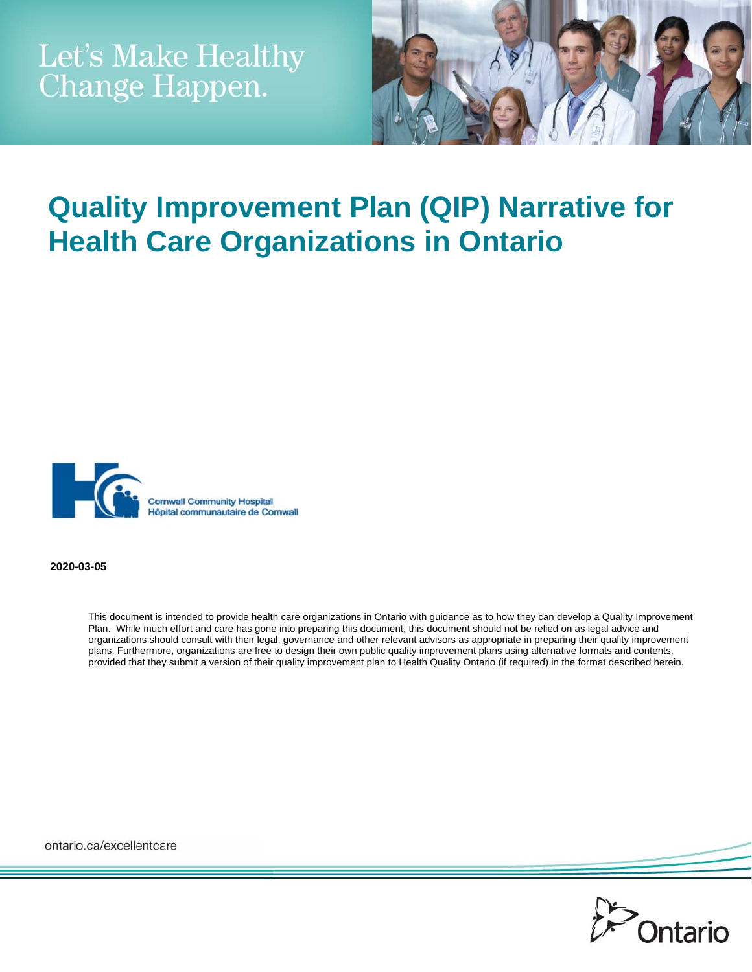

# **Quality Improvement Plan (QIP) Narrative for Health Care Organizations in Ontario**



**2020-03-05** 

This document is intended to provide health care organizations in Ontario with guidance as to how they can develop a Quality Improvement Plan. While much effort and care has gone into preparing this document, this document should not be relied on as legal advice and organizations should consult with their legal, governance and other relevant advisors as appropriate in preparing their quality improvement plans. Furthermore, organizations are free to design their own public quality improvement plans using alternative formats and contents, provided that they submit a version of their quality improvement plan to Health Quality Ontario (if required) in the format described herein.

ontario.ca/excellentcare

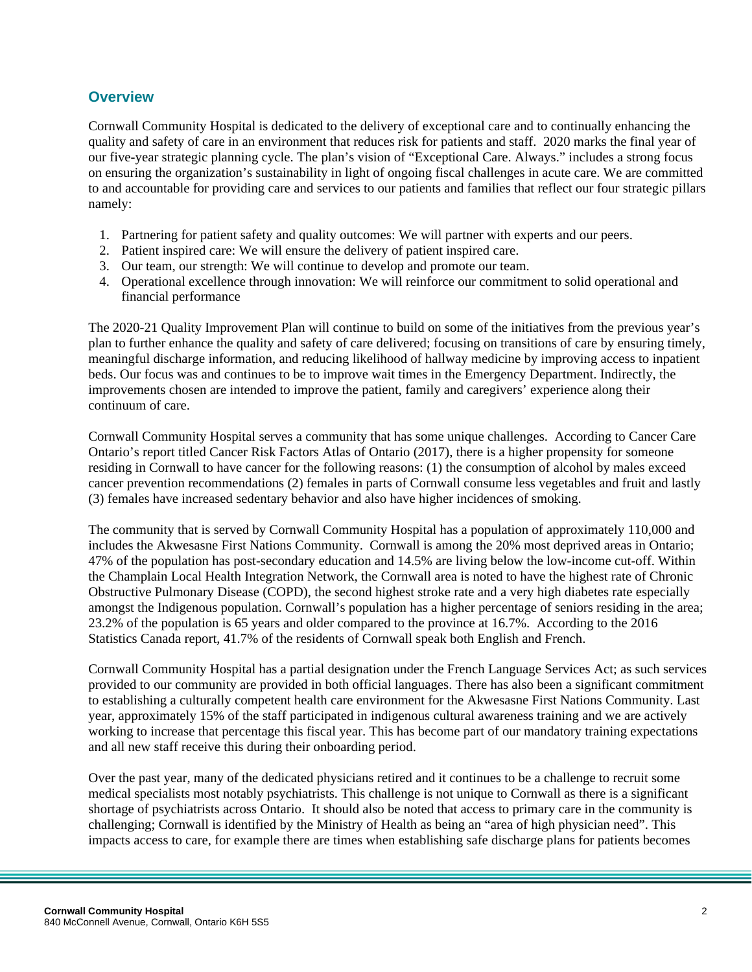#### **Overview**

Cornwall Community Hospital is dedicated to the delivery of exceptional care and to continually enhancing the quality and safety of care in an environment that reduces risk for patients and staff. 2020 marks the final year of our five-year strategic planning cycle. The plan's vision of "Exceptional Care. Always." includes a strong focus on ensuring the organization's sustainability in light of ongoing fiscal challenges in acute care. We are committed to and accountable for providing care and services to our patients and families that reflect our four strategic pillars namely:

- 1. Partnering for patient safety and quality outcomes: We will partner with experts and our peers.
- 2. Patient inspired care: We will ensure the delivery of patient inspired care.
- 3. Our team, our strength: We will continue to develop and promote our team.
- 4. Operational excellence through innovation: We will reinforce our commitment to solid operational and financial performance

The 2020-21 Quality Improvement Plan will continue to build on some of the initiatives from the previous year's plan to further enhance the quality and safety of care delivered; focusing on transitions of care by ensuring timely, meaningful discharge information, and reducing likelihood of hallway medicine by improving access to inpatient beds. Our focus was and continues to be to improve wait times in the Emergency Department. Indirectly, the improvements chosen are intended to improve the patient, family and caregivers' experience along their continuum of care.

Cornwall Community Hospital serves a community that has some unique challenges. According to Cancer Care Ontario's report titled Cancer Risk Factors Atlas of Ontario (2017), there is a higher propensity for someone residing in Cornwall to have cancer for the following reasons: (1) the consumption of alcohol by males exceed cancer prevention recommendations (2) females in parts of Cornwall consume less vegetables and fruit and lastly (3) females have increased sedentary behavior and also have higher incidences of smoking.

The community that is served by Cornwall Community Hospital has a population of approximately 110,000 and includes the Akwesasne First Nations Community. Cornwall is among the 20% most deprived areas in Ontario; 47% of the population has post-secondary education and 14.5% are living below the low-income cut-off. Within the Champlain Local Health Integration Network, the Cornwall area is noted to have the highest rate of Chronic Obstructive Pulmonary Disease (COPD), the second highest stroke rate and a very high diabetes rate especially amongst the Indigenous population. Cornwall's population has a higher percentage of seniors residing in the area; 23.2% of the population is 65 years and older compared to the province at 16.7%. According to the 2016 Statistics Canada report, 41.7% of the residents of Cornwall speak both English and French.

Cornwall Community Hospital has a partial designation under the French Language Services Act; as such services provided to our community are provided in both official languages. There has also been a significant commitment to establishing a culturally competent health care environment for the Akwesasne First Nations Community. Last year, approximately 15% of the staff participated in indigenous cultural awareness training and we are actively working to increase that percentage this fiscal year. This has become part of our mandatory training expectations and all new staff receive this during their onboarding period.

Over the past year, many of the dedicated physicians retired and it continues to be a challenge to recruit some medical specialists most notably psychiatrists. This challenge is not unique to Cornwall as there is a significant shortage of psychiatrists across Ontario. It should also be noted that access to primary care in the community is challenging; Cornwall is identified by the Ministry of Health as being an "area of high physician need". This impacts access to care, for example there are times when establishing safe discharge plans for patients becomes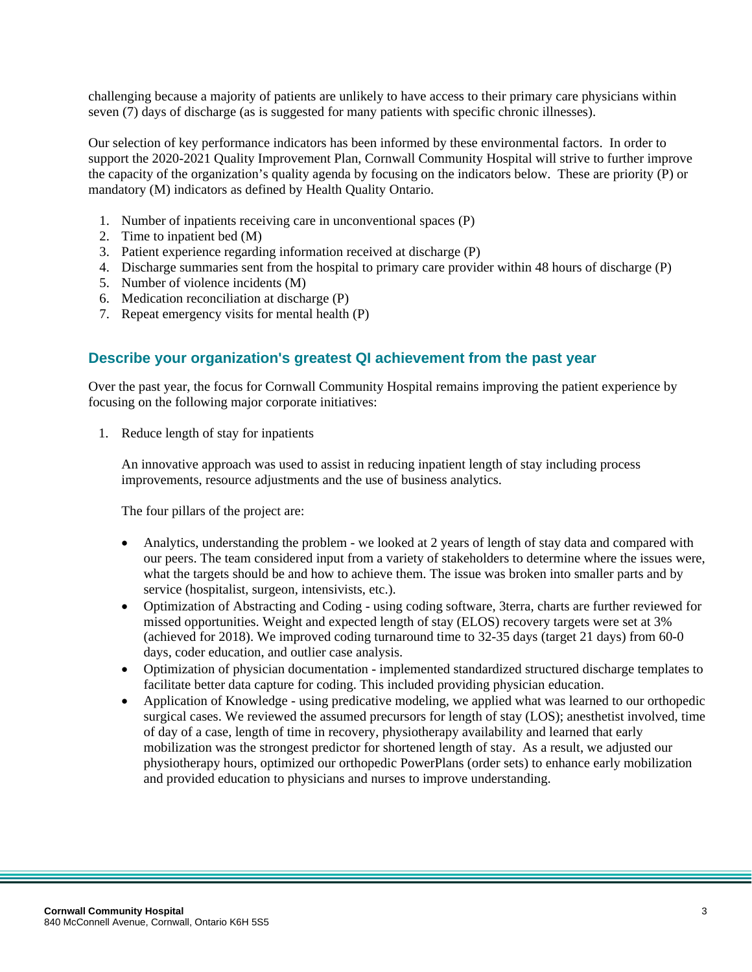challenging because a majority of patients are unlikely to have access to their primary care physicians within seven (7) days of discharge (as is suggested for many patients with specific chronic illnesses).

Our selection of key performance indicators has been informed by these environmental factors. In order to support the 2020-2021 Quality Improvement Plan, Cornwall Community Hospital will strive to further improve the capacity of the organization's quality agenda by focusing on the indicators below. These are priority (P) or mandatory (M) indicators as defined by Health Quality Ontario.

- 1. Number of inpatients receiving care in unconventional spaces (P)
- 2. Time to inpatient bed (M)
- 3. Patient experience regarding information received at discharge (P)
- 4. Discharge summaries sent from the hospital to primary care provider within 48 hours of discharge (P)
- 5. Number of violence incidents (M)
- 6. Medication reconciliation at discharge (P)
- 7. Repeat emergency visits for mental health (P)

#### **Describe your organization's greatest QI achievement from the past year**

Over the past year, the focus for Cornwall Community Hospital remains improving the patient experience by focusing on the following major corporate initiatives:

1. Reduce length of stay for inpatients

An innovative approach was used to assist in reducing inpatient length of stay including process improvements, resource adjustments and the use of business analytics.

The four pillars of the project are:

- Analytics, understanding the problem we looked at 2 years of length of stay data and compared with our peers. The team considered input from a variety of stakeholders to determine where the issues were, what the targets should be and how to achieve them. The issue was broken into smaller parts and by service (hospitalist, surgeon, intensivists, etc.).
- Optimization of Abstracting and Coding using coding software, 3terra, charts are further reviewed for missed opportunities. Weight and expected length of stay (ELOS) recovery targets were set at 3% (achieved for 2018). We improved coding turnaround time to 32-35 days (target 21 days) from 60-0 days, coder education, and outlier case analysis.
- Optimization of physician documentation implemented standardized structured discharge templates to facilitate better data capture for coding. This included providing physician education.
- Application of Knowledge using predicative modeling, we applied what was learned to our orthopedic surgical cases. We reviewed the assumed precursors for length of stay (LOS); anesthetist involved, time of day of a case, length of time in recovery, physiotherapy availability and learned that early mobilization was the strongest predictor for shortened length of stay. As a result, we adjusted our physiotherapy hours, optimized our orthopedic PowerPlans (order sets) to enhance early mobilization and provided education to physicians and nurses to improve understanding.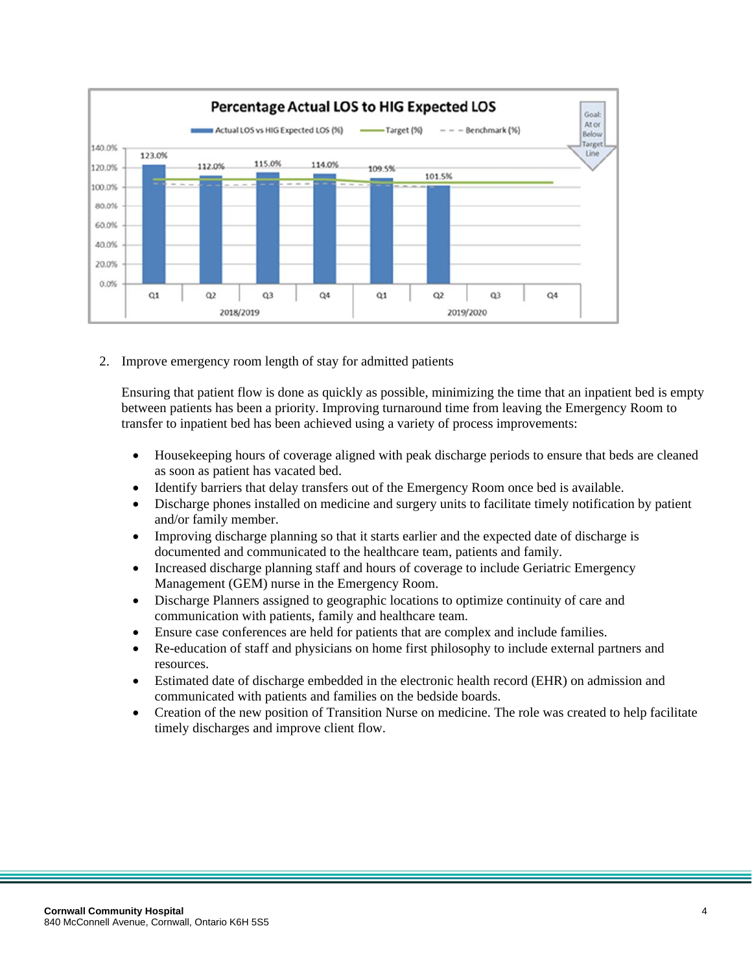

2. Improve emergency room length of stay for admitted patients

Ensuring that patient flow is done as quickly as possible, minimizing the time that an inpatient bed is empty between patients has been a priority. Improving turnaround time from leaving the Emergency Room to transfer to inpatient bed has been achieved using a variety of process improvements:

- Housekeeping hours of coverage aligned with peak discharge periods to ensure that beds are cleaned as soon as patient has vacated bed.
- Identify barriers that delay transfers out of the Emergency Room once bed is available.
- Discharge phones installed on medicine and surgery units to facilitate timely notification by patient and/or family member.
- Improving discharge planning so that it starts earlier and the expected date of discharge is documented and communicated to the healthcare team, patients and family.
- Increased discharge planning staff and hours of coverage to include Geriatric Emergency Management (GEM) nurse in the Emergency Room.
- Discharge Planners assigned to geographic locations to optimize continuity of care and communication with patients, family and healthcare team.
- Ensure case conferences are held for patients that are complex and include families.
- Re-education of staff and physicians on home first philosophy to include external partners and resources.
- Estimated date of discharge embedded in the electronic health record (EHR) on admission and communicated with patients and families on the bedside boards.
- Creation of the new position of Transition Nurse on medicine. The role was created to help facilitate timely discharges and improve client flow.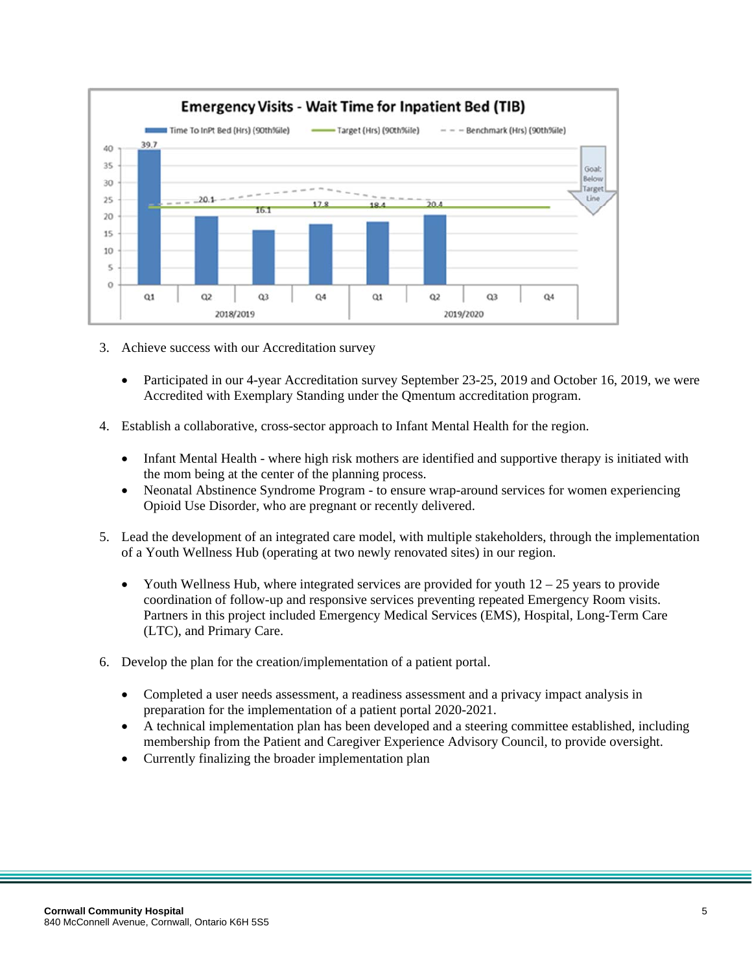

- 3. Achieve success with our Accreditation survey
	- Participated in our 4-year Accreditation survey September 23-25, 2019 and October 16, 2019, we were Accredited with Exemplary Standing under the Qmentum accreditation program.
- 4. Establish a collaborative, cross-sector approach to Infant Mental Health for the region.
	- Infant Mental Health where high risk mothers are identified and supportive therapy is initiated with the mom being at the center of the planning process.
	- Neonatal Abstinence Syndrome Program to ensure wrap-around services for women experiencing Opioid Use Disorder, who are pregnant or recently delivered.
- 5. Lead the development of an integrated care model, with multiple stakeholders, through the implementation of a Youth Wellness Hub (operating at two newly renovated sites) in our region.
	- Youth Wellness Hub, where integrated services are provided for youth  $12 25$  years to provide coordination of follow-up and responsive services preventing repeated Emergency Room visits. Partners in this project included Emergency Medical Services (EMS), Hospital, Long-Term Care (LTC), and Primary Care.
- 6. Develop the plan for the creation/implementation of a patient portal.
	- Completed a user needs assessment, a readiness assessment and a privacy impact analysis in preparation for the implementation of a patient portal 2020-2021.
	- A technical implementation plan has been developed and a steering committee established, including membership from the Patient and Caregiver Experience Advisory Council, to provide oversight.
	- Currently finalizing the broader implementation plan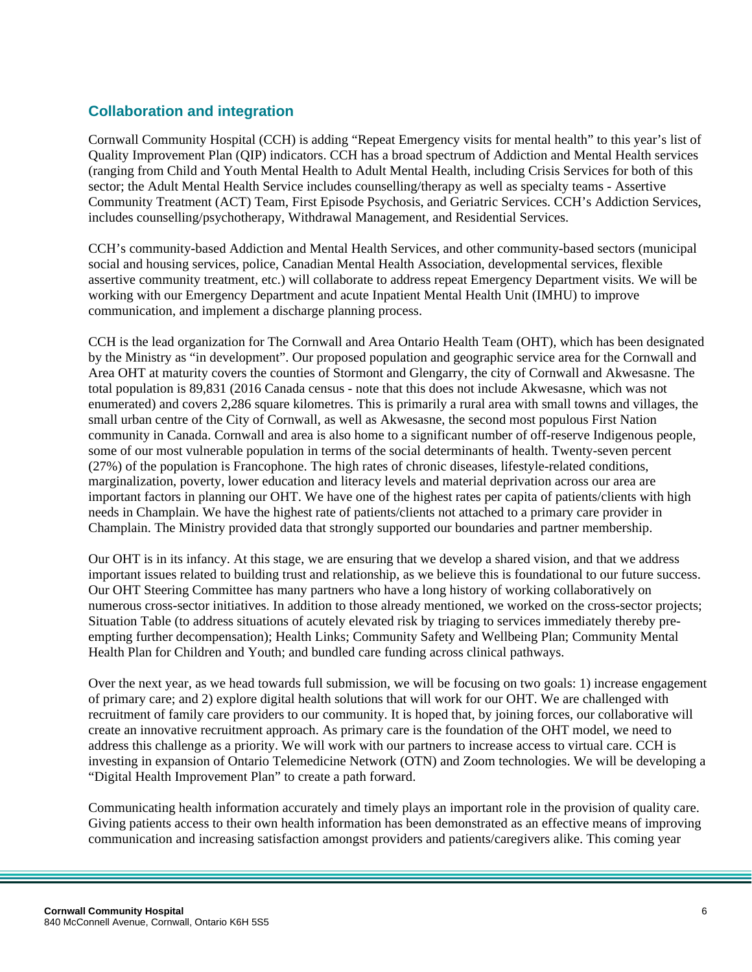### **Collaboration and integration**

Cornwall Community Hospital (CCH) is adding "Repeat Emergency visits for mental health" to this year's list of Quality Improvement Plan (QIP) indicators. CCH has a broad spectrum of Addiction and Mental Health services (ranging from Child and Youth Mental Health to Adult Mental Health, including Crisis Services for both of this sector; the Adult Mental Health Service includes counselling/therapy as well as specialty teams - Assertive Community Treatment (ACT) Team, First Episode Psychosis, and Geriatric Services. CCH's Addiction Services, includes counselling/psychotherapy, Withdrawal Management, and Residential Services.

CCH's community-based Addiction and Mental Health Services, and other community-based sectors (municipal social and housing services, police, Canadian Mental Health Association, developmental services, flexible assertive community treatment, etc.) will collaborate to address repeat Emergency Department visits. We will be working with our Emergency Department and acute Inpatient Mental Health Unit (IMHU) to improve communication, and implement a discharge planning process.

CCH is the lead organization for The Cornwall and Area Ontario Health Team (OHT), which has been designated by the Ministry as "in development". Our proposed population and geographic service area for the Cornwall and Area OHT at maturity covers the counties of Stormont and Glengarry, the city of Cornwall and Akwesasne. The total population is 89,831 (2016 Canada census - note that this does not include Akwesasne, which was not enumerated) and covers 2,286 square kilometres. This is primarily a rural area with small towns and villages, the small urban centre of the City of Cornwall, as well as Akwesasne, the second most populous First Nation community in Canada. Cornwall and area is also home to a significant number of off-reserve Indigenous people, some of our most vulnerable population in terms of the social determinants of health. Twenty-seven percent (27%) of the population is Francophone. The high rates of chronic diseases, lifestyle-related conditions, marginalization, poverty, lower education and literacy levels and material deprivation across our area are important factors in planning our OHT. We have one of the highest rates per capita of patients/clients with high needs in Champlain. We have the highest rate of patients/clients not attached to a primary care provider in Champlain. The Ministry provided data that strongly supported our boundaries and partner membership.

Our OHT is in its infancy. At this stage, we are ensuring that we develop a shared vision, and that we address important issues related to building trust and relationship, as we believe this is foundational to our future success. Our OHT Steering Committee has many partners who have a long history of working collaboratively on numerous cross-sector initiatives. In addition to those already mentioned, we worked on the cross-sector projects; Situation Table (to address situations of acutely elevated risk by triaging to services immediately thereby preempting further decompensation); Health Links; Community Safety and Wellbeing Plan; Community Mental Health Plan for Children and Youth; and bundled care funding across clinical pathways.

Over the next year, as we head towards full submission, we will be focusing on two goals: 1) increase engagement of primary care; and 2) explore digital health solutions that will work for our OHT. We are challenged with recruitment of family care providers to our community. It is hoped that, by joining forces, our collaborative will create an innovative recruitment approach. As primary care is the foundation of the OHT model, we need to address this challenge as a priority. We will work with our partners to increase access to virtual care. CCH is investing in expansion of Ontario Telemedicine Network (OTN) and Zoom technologies. We will be developing a "Digital Health Improvement Plan" to create a path forward.

Communicating health information accurately and timely plays an important role in the provision of quality care. Giving patients access to their own health information has been demonstrated as an effective means of improving communication and increasing satisfaction amongst providers and patients/caregivers alike. This coming year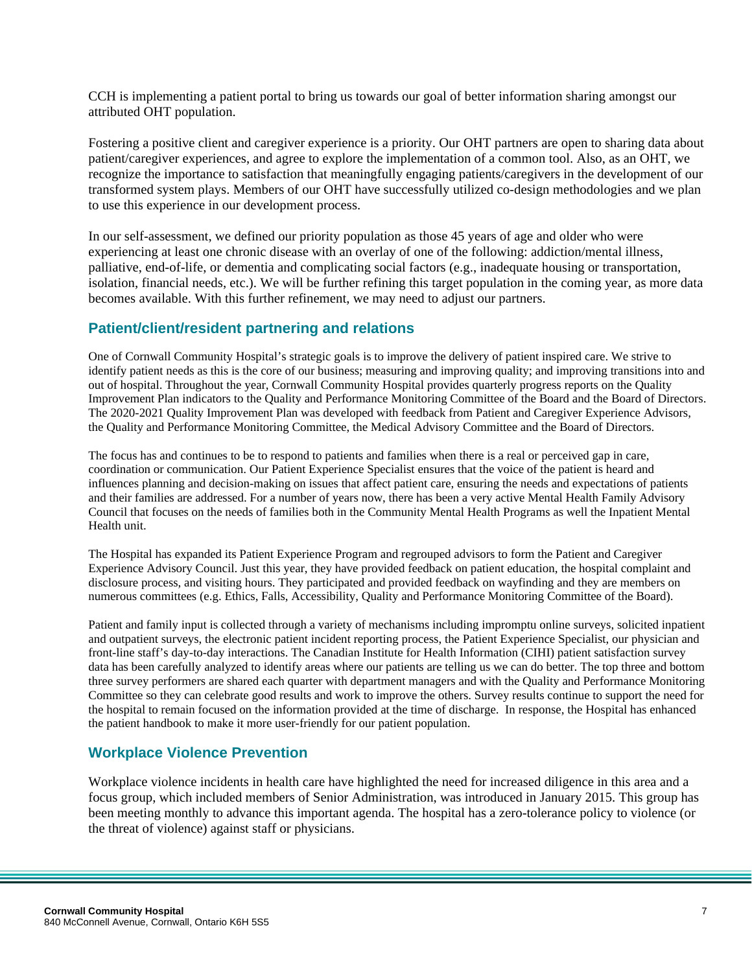CCH is implementing a patient portal to bring us towards our goal of better information sharing amongst our attributed OHT population.

Fostering a positive client and caregiver experience is a priority. Our OHT partners are open to sharing data about patient/caregiver experiences, and agree to explore the implementation of a common tool. Also, as an OHT, we recognize the importance to satisfaction that meaningfully engaging patients/caregivers in the development of our transformed system plays. Members of our OHT have successfully utilized co-design methodologies and we plan to use this experience in our development process.

In our self-assessment, we defined our priority population as those 45 years of age and older who were experiencing at least one chronic disease with an overlay of one of the following: addiction/mental illness, palliative, end-of-life, or dementia and complicating social factors (e.g., inadequate housing or transportation, isolation, financial needs, etc.). We will be further refining this target population in the coming year, as more data becomes available. With this further refinement, we may need to adjust our partners.

#### **Patient/client/resident partnering and relations**

One of Cornwall Community Hospital's strategic goals is to improve the delivery of patient inspired care. We strive to identify patient needs as this is the core of our business; measuring and improving quality; and improving transitions into and out of hospital. Throughout the year, Cornwall Community Hospital provides quarterly progress reports on the Quality Improvement Plan indicators to the Quality and Performance Monitoring Committee of the Board and the Board of Directors. The 2020-2021 Quality Improvement Plan was developed with feedback from Patient and Caregiver Experience Advisors, the Quality and Performance Monitoring Committee, the Medical Advisory Committee and the Board of Directors.

The focus has and continues to be to respond to patients and families when there is a real or perceived gap in care, coordination or communication. Our Patient Experience Specialist ensures that the voice of the patient is heard and influences planning and decision-making on issues that affect patient care, ensuring the needs and expectations of patients and their families are addressed. For a number of years now, there has been a very active Mental Health Family Advisory Council that focuses on the needs of families both in the Community Mental Health Programs as well the Inpatient Mental Health unit.

The Hospital has expanded its Patient Experience Program and regrouped advisors to form the Patient and Caregiver Experience Advisory Council. Just this year, they have provided feedback on patient education, the hospital complaint and disclosure process, and visiting hours. They participated and provided feedback on wayfinding and they are members on numerous committees (e.g. Ethics, Falls, Accessibility, Quality and Performance Monitoring Committee of the Board).

Patient and family input is collected through a variety of mechanisms including impromptu online surveys, solicited inpatient and outpatient surveys, the electronic patient incident reporting process, the Patient Experience Specialist, our physician and front-line staff's day-to-day interactions. The Canadian Institute for Health Information (CIHI) patient satisfaction survey data has been carefully analyzed to identify areas where our patients are telling us we can do better. The top three and bottom three survey performers are shared each quarter with department managers and with the Quality and Performance Monitoring Committee so they can celebrate good results and work to improve the others. Survey results continue to support the need for the hospital to remain focused on the information provided at the time of discharge. In response, the Hospital has enhanced the patient handbook to make it more user-friendly for our patient population.

# **Workplace Violence Prevention**

Workplace violence incidents in health care have highlighted the need for increased diligence in this area and a focus group, which included members of Senior Administration, was introduced in January 2015. This group has been meeting monthly to advance this important agenda. The hospital has a zero-tolerance policy to violence (or the threat of violence) against staff or physicians.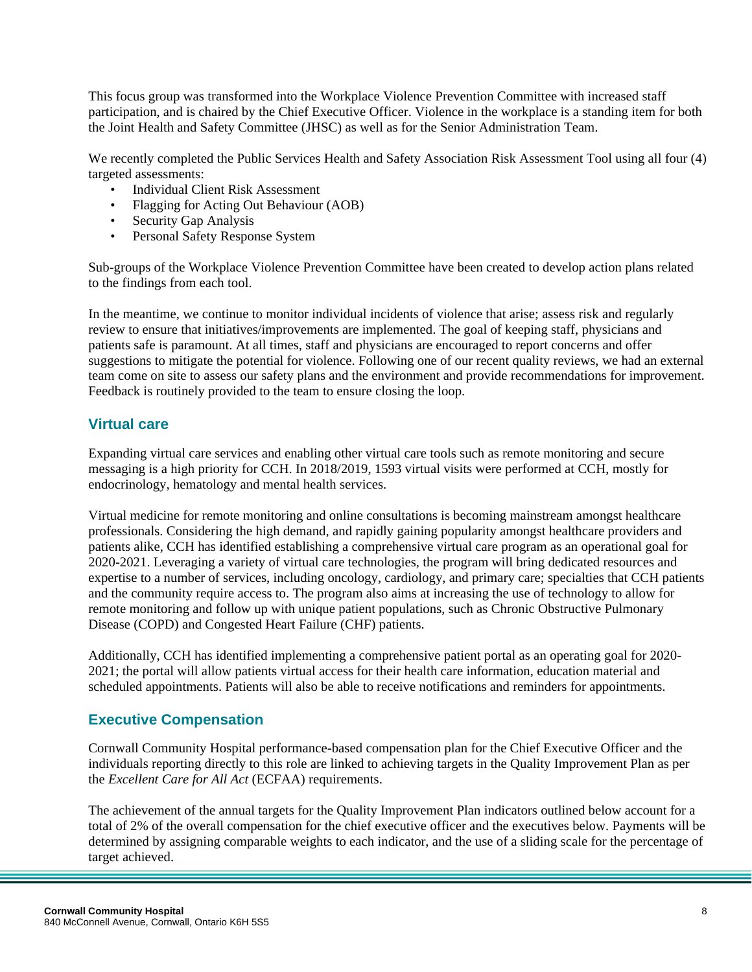This focus group was transformed into the Workplace Violence Prevention Committee with increased staff participation, and is chaired by the Chief Executive Officer. Violence in the workplace is a standing item for both the Joint Health and Safety Committee (JHSC) as well as for the Senior Administration Team.

We recently completed the Public Services Health and Safety Association Risk Assessment Tool using all four (4) targeted assessments:

- Individual Client Risk Assessment
- Flagging for Acting Out Behaviour (AOB)
- Security Gap Analysis
- Personal Safety Response System

Sub-groups of the Workplace Violence Prevention Committee have been created to develop action plans related to the findings from each tool.

In the meantime, we continue to monitor individual incidents of violence that arise; assess risk and regularly review to ensure that initiatives/improvements are implemented. The goal of keeping staff, physicians and patients safe is paramount. At all times, staff and physicians are encouraged to report concerns and offer suggestions to mitigate the potential for violence. Following one of our recent quality reviews, we had an external team come on site to assess our safety plans and the environment and provide recommendations for improvement. Feedback is routinely provided to the team to ensure closing the loop.

#### **Virtual care**

Expanding virtual care services and enabling other virtual care tools such as remote monitoring and secure messaging is a high priority for CCH. In 2018/2019, 1593 virtual visits were performed at CCH, mostly for endocrinology, hematology and mental health services.

Virtual medicine for remote monitoring and online consultations is becoming mainstream amongst healthcare professionals. Considering the high demand, and rapidly gaining popularity amongst healthcare providers and patients alike, CCH has identified establishing a comprehensive virtual care program as an operational goal for 2020-2021. Leveraging a variety of virtual care technologies, the program will bring dedicated resources and expertise to a number of services, including oncology, cardiology, and primary care; specialties that CCH patients and the community require access to. The program also aims at increasing the use of technology to allow for remote monitoring and follow up with unique patient populations, such as Chronic Obstructive Pulmonary Disease (COPD) and Congested Heart Failure (CHF) patients.

Additionally, CCH has identified implementing a comprehensive patient portal as an operating goal for 2020- 2021; the portal will allow patients virtual access for their health care information, education material and scheduled appointments. Patients will also be able to receive notifications and reminders for appointments.

#### **Executive Compensation**

Cornwall Community Hospital performance-based compensation plan for the Chief Executive Officer and the individuals reporting directly to this role are linked to achieving targets in the Quality Improvement Plan as per the *Excellent Care for All Act* (ECFAA) requirements.

The achievement of the annual targets for the Quality Improvement Plan indicators outlined below account for a total of 2% of the overall compensation for the chief executive officer and the executives below. Payments will be determined by assigning comparable weights to each indicator, and the use of a sliding scale for the percentage of target achieved.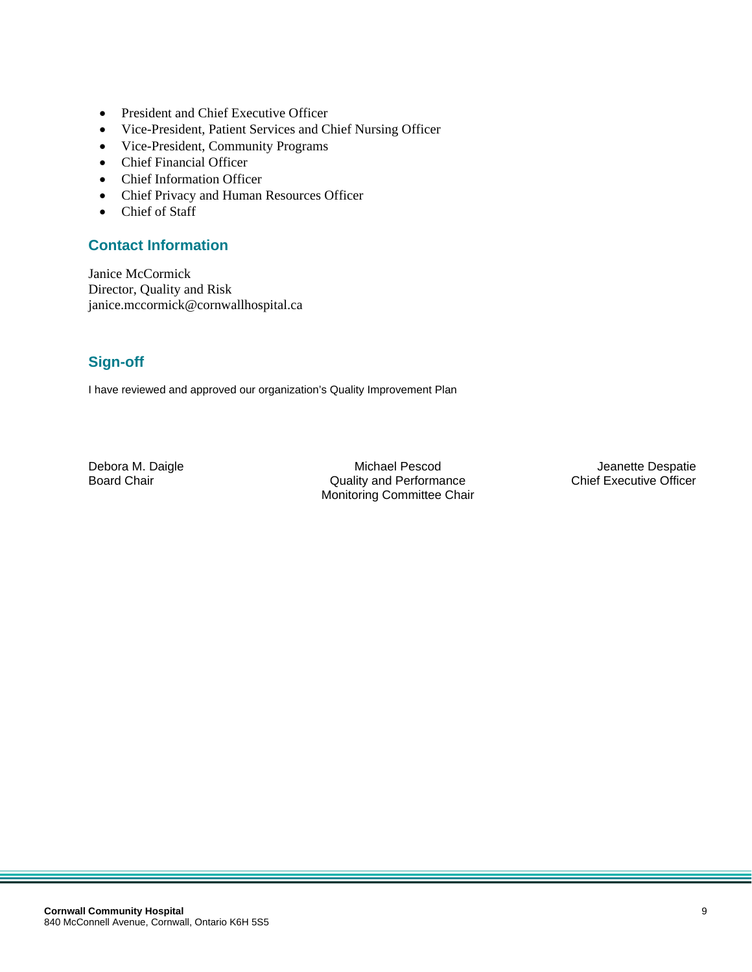- President and Chief Executive Officer
- Vice-President, Patient Services and Chief Nursing Officer
- Vice-President, Community Programs
- Chief Financial Officer
- Chief Information Officer
- Chief Privacy and Human Resources Officer
- Chief of Staff

#### **Contact Information**

Janice McCormick Director, Quality and Risk janice.mccormick@cornwallhospital.ca

# **Sign-off**

I have reviewed and approved our organization's Quality Improvement Plan

Debora M. Daigle **Michael Pescod** Michael Pescod Jeanette Despatie<br>Board Chair Michael Despatie Coulty and Performance **Chair** Chief Executive Officer Board Chair **Chair** Chair Chair Chair Chair Chair Chair Chair Chair Chair Chair Chair Chair Chief Executive Officer Monitoring Committee Chair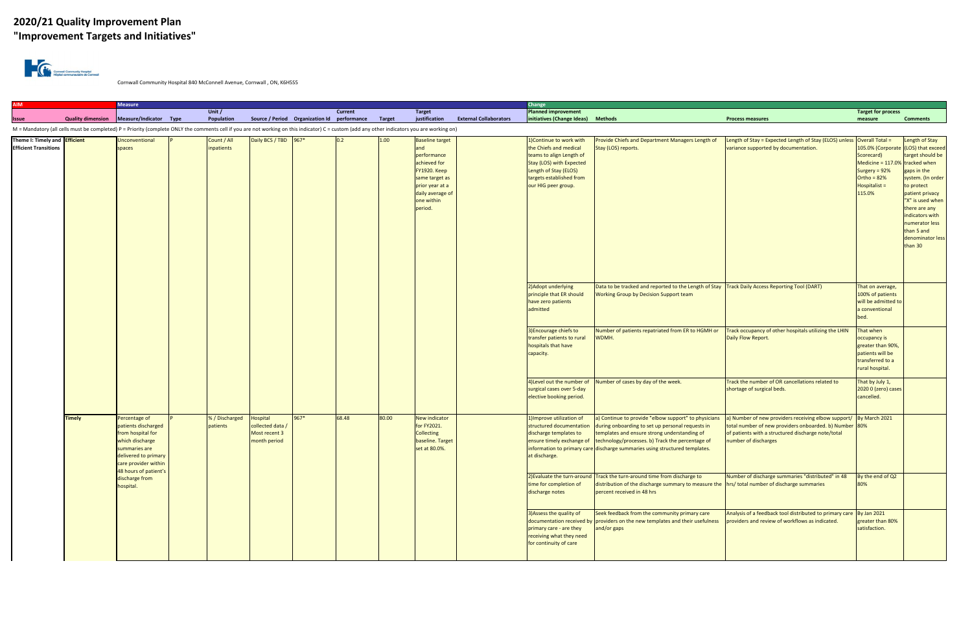# **2020/21 Quality Improvement Plan "Improvement Targets and Initiatives"**



Cornwall Community Hospital 840 McConnell Avenue, Cornwall , ON, K6H5S5

| <b>AIM</b>                                                           |               | <b>Measure</b>                                                                                                                                |  |                            |                                                               |      |                |                                                                                                                                                                                                                        |                                                                                                                                                     |                               | Change                                                                                                                                                                                                                                 |                                                                                                                                                                                                                                                                                                                       |                                                                                                                                                                                                                         |                                                                                                                                                     |                                                                                                                                                                                                                                |  |
|----------------------------------------------------------------------|---------------|-----------------------------------------------------------------------------------------------------------------------------------------------|--|----------------------------|---------------------------------------------------------------|------|----------------|------------------------------------------------------------------------------------------------------------------------------------------------------------------------------------------------------------------------|-----------------------------------------------------------------------------------------------------------------------------------------------------|-------------------------------|----------------------------------------------------------------------------------------------------------------------------------------------------------------------------------------------------------------------------------------|-----------------------------------------------------------------------------------------------------------------------------------------------------------------------------------------------------------------------------------------------------------------------------------------------------------------------|-------------------------------------------------------------------------------------------------------------------------------------------------------------------------------------------------------------------------|-----------------------------------------------------------------------------------------------------------------------------------------------------|--------------------------------------------------------------------------------------------------------------------------------------------------------------------------------------------------------------------------------|--|
|                                                                      |               |                                                                                                                                               |  | Unit $/$                   |                                                               |      | <b>Current</b> |                                                                                                                                                                                                                        | <b>Target</b>                                                                                                                                       |                               | <b>Planned improvement</b>                                                                                                                                                                                                             |                                                                                                                                                                                                                                                                                                                       |                                                                                                                                                                                                                         | <b>Target for process</b>                                                                                                                           |                                                                                                                                                                                                                                |  |
| <b>Issue</b>                                                         |               | Quality dimension Measure/Indicator Type                                                                                                      |  | Population                 | Source / Period Organization Id performance                   |      |                | <b>Target</b>                                                                                                                                                                                                          | justification                                                                                                                                       | <b>External Collaborators</b> | initiatives (Change Ideas)                                                                                                                                                                                                             | <b>Methods</b>                                                                                                                                                                                                                                                                                                        | <b>Process measures</b>                                                                                                                                                                                                 | measure                                                                                                                                             | <b>Comments</b>                                                                                                                                                                                                                |  |
|                                                                      |               |                                                                                                                                               |  |                            |                                                               |      |                |                                                                                                                                                                                                                        |                                                                                                                                                     |                               |                                                                                                                                                                                                                                        |                                                                                                                                                                                                                                                                                                                       |                                                                                                                                                                                                                         |                                                                                                                                                     |                                                                                                                                                                                                                                |  |
| Theme I: Timely and <b>Efficient</b><br><b>Efficient Transitions</b> |               | Unconventional<br>spaces                                                                                                                      |  | Count / All<br>inpatients  | Daily BCS / TBD 967*                                          |      | 0.2            | M = Mandatory (all cells must be completed) P = Priority (complete ONLY the comments cell if you are not working on this indicator) C = custom (add any other indicators you are working on)<br>1.00<br>and<br>period. | <b>Baseline target</b><br>performance<br>achieved for<br><b>FY1920. Keep</b><br>same target as<br>prior year at a<br>daily average of<br>one within |                               | 1) Continue to work with<br>the Chiefs and medical<br>teams to align Length of<br>Stay (LOS) with Expected<br>Length of Stay (ELOS)<br>targets established from<br>our HIG peer group.                                                 | Provide Chiefs and Department Managers Length of<br>Stay (LOS) reports.                                                                                                                                                                                                                                               | Length of Stay = Expected Length of Stay (ELOS) unless Overall Total =<br>variance supported by documentation.                                                                                                          | 105.0% (Corporate (LOS) that exceed<br>Scorecard)<br>Medicine = $117.0\%$ tracked when<br>Surgery = 92%<br>Ortho = $82%$<br>Hospitalist =<br>115.0% | Length of Stay<br>target should be<br>gaps in the<br>system. (In order<br>to protect<br>patient privacy<br>"X" is used when<br>there are any<br>indicators with<br>numerator less<br>than 5 and<br>denominator less<br>than 30 |  |
|                                                                      |               |                                                                                                                                               |  |                            |                                                               |      |                |                                                                                                                                                                                                                        |                                                                                                                                                     |                               | 2) Adopt underlying<br>Data to be tracked and reported to the Length of Stay   Track Daily Access Reporting Tool (DART)<br>principle that ER should<br><b>Working Group by Decision Support team</b><br>have zero patients<br>admitted |                                                                                                                                                                                                                                                                                                                       |                                                                                                                                                                                                                         | That on average,<br>100% of patients<br>will be admitted to<br>a conventional<br>bed.                                                               |                                                                                                                                                                                                                                |  |
|                                                                      |               |                                                                                                                                               |  |                            |                                                               |      |                |                                                                                                                                                                                                                        |                                                                                                                                                     |                               | 3) Encourage chiefs to<br>transfer patients to rural<br>hospitals that have<br>capacity.                                                                                                                                               | Number of patients repatriated from ER to HGMH or<br>WDMH.                                                                                                                                                                                                                                                            | Track occupancy of other hospitals utilizing the LHIN<br>Daily Flow Report.                                                                                                                                             | That when<br>occupancy is<br>greater than 90%,<br>patients will be<br>transferred to a<br>rural hospital.                                           |                                                                                                                                                                                                                                |  |
|                                                                      |               |                                                                                                                                               |  |                            |                                                               |      |                |                                                                                                                                                                                                                        |                                                                                                                                                     |                               | surgical cases over 5-day<br>elective booking period.                                                                                                                                                                                  | 4) Level out the number of Number of cases by day of the week.                                                                                                                                                                                                                                                        | Track the number of OR cancellations related to<br>shortage of surgical beds.                                                                                                                                           | That by July 1,<br>2020 0 (zero) cases<br>cancelled.                                                                                                |                                                                                                                                                                                                                                |  |
|                                                                      | <b>Timely</b> | Percentage of<br>patients discharged<br>from hospital for<br>which discharge<br>summaries are<br>delivered to primary<br>care provider within |  | % / Discharged<br>patients | Hospital<br>collected data /<br>Most recent 3<br>month period | 967* | 68.48          | 80.00                                                                                                                                                                                                                  | <b>New indicator</b><br>for FY2021.<br><b>Collecting</b><br>baseline. Target<br>set at 80.0%.                                                       |                               | 1) Improve utilization of<br>structured documentation<br>discharge templates to<br>at discharge.                                                                                                                                       | a) Continue to provide "elbow support" to physicians<br>during onboarding to set up personal requests in<br>templates and ensure strong understanding of<br>ensure timely exchange of technology/processes. b) Track the percentage of<br>information to primary care discharge summaries using structured templates. | a) Number of new providers receiving elbow support/ $\frac{1}{2}$ By March 2021<br>total number of new providers onboarded. b) Number 80%<br>of patients with a structured discharge note/total<br>number of discharges |                                                                                                                                                     |                                                                                                                                                                                                                                |  |
|                                                                      |               | 48 hours of patient's<br>discharge from<br>hospital.                                                                                          |  |                            |                                                               |      |                |                                                                                                                                                                                                                        |                                                                                                                                                     |                               | time for completion of<br>discharge notes                                                                                                                                                                                              | 2) Evaluate the turn-around Track the turn-around time from discharge to<br>distribution of the discharge summary to measure the hrs/ total number of discharge summaries<br>percent received in 48 hrs                                                                                                               | Number of discharge summaries "distributed" in 48                                                                                                                                                                       | By the end of Q2<br>80%                                                                                                                             |                                                                                                                                                                                                                                |  |
|                                                                      |               |                                                                                                                                               |  |                            |                                                               |      |                |                                                                                                                                                                                                                        |                                                                                                                                                     |                               | 3) Assess the quality of<br>primary care - are they<br>receiving what they need<br>for continuity of care                                                                                                                              | Seek feedback from the community primary care<br>documentation received by providers on the new templates and their usefulness<br>and/or gaps                                                                                                                                                                         | Analysis of a feedback tool distributed to primary care By Jan 2021<br>providers and review of workflows as indicated.                                                                                                  | greater than 80%<br>satisfaction.                                                                                                                   |                                                                                                                                                                                                                                |  |
|                                                                      |               |                                                                                                                                               |  |                            |                                                               |      |                |                                                                                                                                                                                                                        |                                                                                                                                                     |                               |                                                                                                                                                                                                                                        |                                                                                                                                                                                                                                                                                                                       |                                                                                                                                                                                                                         |                                                                                                                                                     |                                                                                                                                                                                                                                |  |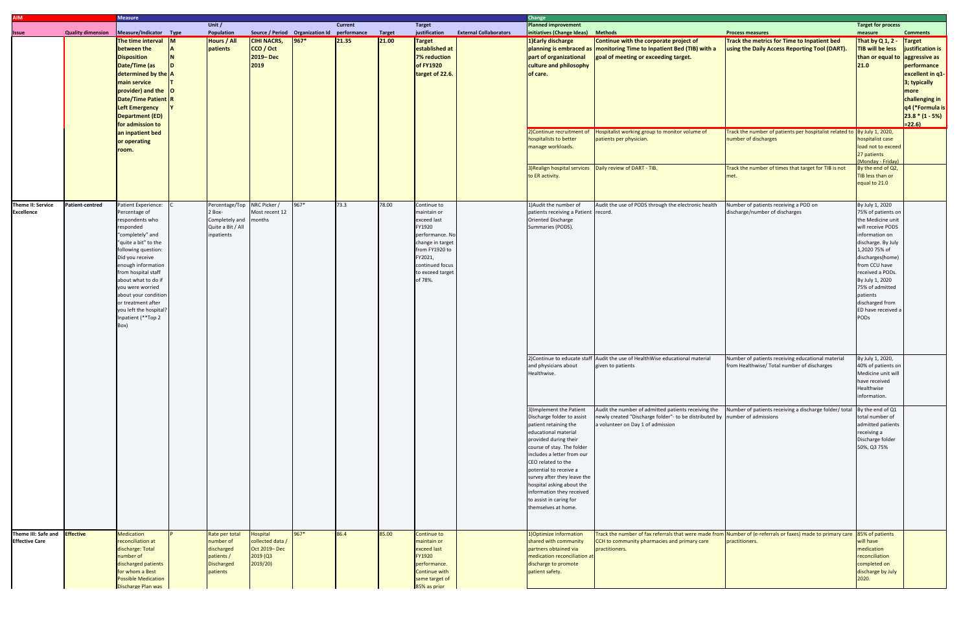| <b>AIM</b>                                                    |                          | <b>Measure</b>                                                                                                                                                                                                                                                                                                                                           |  |                                                                                          |                                                                      |                                                    |                |       |                                                                                                                                                                           |                               | <b>Change</b>                                                                                                                                                                                                                                                                                                                                                                           |                                                                                                                                                                                                             |                                                                                                                                                                                 |                                                                                                                                                                                                                                                                                                      |                                                                                                                                                                  |  |
|---------------------------------------------------------------|--------------------------|----------------------------------------------------------------------------------------------------------------------------------------------------------------------------------------------------------------------------------------------------------------------------------------------------------------------------------------------------------|--|------------------------------------------------------------------------------------------|----------------------------------------------------------------------|----------------------------------------------------|----------------|-------|---------------------------------------------------------------------------------------------------------------------------------------------------------------------------|-------------------------------|-----------------------------------------------------------------------------------------------------------------------------------------------------------------------------------------------------------------------------------------------------------------------------------------------------------------------------------------------------------------------------------------|-------------------------------------------------------------------------------------------------------------------------------------------------------------------------------------------------------------|---------------------------------------------------------------------------------------------------------------------------------------------------------------------------------|------------------------------------------------------------------------------------------------------------------------------------------------------------------------------------------------------------------------------------------------------------------------------------------------------|------------------------------------------------------------------------------------------------------------------------------------------------------------------|--|
|                                                               | <b>Quality dimension</b> | Measure/Indicator Type                                                                                                                                                                                                                                                                                                                                   |  | Unit $/$<br>Population                                                                   |                                                                      | Source / Period Organization Id performance Target | <b>Current</b> |       | <b>Target</b><br>justification                                                                                                                                            | <b>External Collaborators</b> | <b>Planned improvement</b><br>initiatives (Change Ideas)                                                                                                                                                                                                                                                                                                                                | <b>Methods</b>                                                                                                                                                                                              | <b>Process measures</b>                                                                                                                                                         | <b>Target for process</b>                                                                                                                                                                                                                                                                            | <b>Comments</b>                                                                                                                                                  |  |
| <b>Issue</b>                                                  |                          | The time interval $\overline{M}$<br>between the<br><b>Disposition</b><br>Date/Time (as<br>determined by the A<br><b>main service</b><br>$provider$ ) and the $ O $<br>Date/Time Patient R<br>Left Emergency<br>Department (ED)<br>for admission to<br>an inpatient bed                                                                                   |  | Hours / All<br>patients                                                                  | <b>CIHI NACRS,</b><br>CCO / Oct<br>2019-Dec<br>2019                  | $ 967* $                                           | 21.35          | 21.00 | <b>Target</b><br>established at<br><b>7% reduction</b><br>of FY1920<br>target of 22.6.                                                                                    |                               | 1) Early discharge<br>part of organizational<br>culture and philosophy<br>of care.<br>2) Continue recruitment of                                                                                                                                                                                                                                                                        | Continue with the corporate project of<br>planning is embraced as   monitoring Time to Inpatient Bed (TIB) with a<br>goal of meeting or exceeding target.<br>Hospitalist working group to monitor volume of | <b>Track the metrics for Time to Inpatient bed</b><br>using the Daily Access Reporting Tool (DART).<br>Track the number of patients per hospitalist related to By July 1, 2020, | measure<br>That by Q 1, 2 - Target<br>TIB will be less<br>than or equal to<br>$21.0$                                                                                                                                                                                                                 | justification is<br>aggressive as<br>performance<br>excellent in q1-<br>3; typically<br>more<br>challenging in<br>q4 (*Formula is<br>$ 23.8*(1-5%) $<br>$= 22.6$ |  |
|                                                               |                          | or operating<br>room.                                                                                                                                                                                                                                                                                                                                    |  |                                                                                          |                                                                      |                                                    |                |       |                                                                                                                                                                           |                               | hospitalists to better<br>manage workloads.                                                                                                                                                                                                                                                                                                                                             | patients per physician.                                                                                                                                                                                     | number of discharges                                                                                                                                                            | hospitalist case<br>load not to exceed<br>27 patients<br>(Monday - Friday)                                                                                                                                                                                                                           |                                                                                                                                                                  |  |
|                                                               |                          |                                                                                                                                                                                                                                                                                                                                                          |  |                                                                                          |                                                                      |                                                    |                |       |                                                                                                                                                                           |                               | 3) Realign hospital services   Daily review of DART - TIB.<br>to ER activity.                                                                                                                                                                                                                                                                                                           |                                                                                                                                                                                                             | Track the number of times that target for TIB is not<br>met.                                                                                                                    | By the end of Q2,<br>TIB less than or<br>equal to 21.0                                                                                                                                                                                                                                               |                                                                                                                                                                  |  |
| Theme II: Service<br><b>Excellence</b>                        | Patient-centred          | Patient Experience:<br>Percentage of<br>respondents who<br>responded<br>"completely" and<br>"quite a bit" to the<br>following question:<br>Did you receive<br>enough information<br>from hospital staff<br>about what to do if<br>you were worried<br>about your condition<br>or treatment after<br>you left the hospital?<br>Inpatient (**Top 2<br>Box) |  | 2 Box-<br>Completely and<br>Quite a Bit / All<br>inpatients                              | Percentage/Top NRC Picker /<br>Most recent 12<br>months              |                                                    | 73.3           | 78.00 | Continue to<br>maintain or<br>exceed last<br>FY1920<br>performance. No<br>change in target<br>from FY1920 to<br>FY2021,<br>continued focus<br>to exceed target<br>of 78%. |                               | 1) Audit the number of<br>patients receiving a Patient record<br>Oriented Discharge<br>Summaries (PODS).                                                                                                                                                                                                                                                                                | Audit the use of PODS through the electronic health                                                                                                                                                         | Number of patients receiving a POD on<br>discharge/number of discharges                                                                                                         | By July 1, 2020<br>75% of patients on<br>the Medicine unit<br>will receive PODS<br>information on<br>discharge. By July<br>1,2020 75% of<br>discharges(home)<br>from CCU have<br>received a PODs.<br>By July 1, 2020<br>75% of admitted<br>patients<br>discharged from<br>ED have received a<br>PODs |                                                                                                                                                                  |  |
|                                                               |                          |                                                                                                                                                                                                                                                                                                                                                          |  |                                                                                          |                                                                      |                                                    |                |       |                                                                                                                                                                           |                               | and physicians about<br>Healthwise.                                                                                                                                                                                                                                                                                                                                                     | 2) Continue to educate staff Audit the use of HealthWise educational material<br>given to patients                                                                                                          | Number of patients receiving educational material<br>from Healthwise/ Total number of discharges                                                                                | By July 1, 2020,<br>40% of patients on<br>Medicine unit will<br>have received<br>Healthwise<br>information.                                                                                                                                                                                          |                                                                                                                                                                  |  |
|                                                               |                          |                                                                                                                                                                                                                                                                                                                                                          |  |                                                                                          |                                                                      |                                                    |                |       |                                                                                                                                                                           |                               | 3) Implement the Patient<br>Discharge folder to assist<br>patient retaining the<br>educational material<br>provided during their<br>course of stay. The folder<br>includes a letter from our<br>CEO related to the<br>potential to receive a<br>survey after they leave the<br>hospital asking about the<br>information they received<br>to assist in caring for<br>themselves at home. | Audit the number of admitted patients receiving the<br>newly created "Discharge folder"- to be distributed by number of admissions<br>a volunteer on Day 1 of admission                                     | Number of patients receiving a discharge folder/ total                                                                                                                          | By the end of Q1<br>total number of<br>admitted patients<br>receiving a<br>Discharge folder<br>50%, Q3 75%                                                                                                                                                                                           |                                                                                                                                                                  |  |
| Theme III: Safe and <b>Effective</b><br><b>Effective Care</b> |                          | Medication<br>reconciliation at<br>discharge: Total<br>number of<br>discharged patients<br>for whom a Best<br><b>Possible Medication</b><br>Discharge Plan was                                                                                                                                                                                           |  | Rate per total<br>number of<br>discharged<br>patients /<br><b>Discharged</b><br>patients | Hospital<br>collected data /<br>Oct 2019-Dec<br>2019 (Q3<br>2019/20) | $967*$                                             | 86.4           | 85.00 | Continue to<br>maintain or<br>exceed last<br>FY1920<br>performance.<br><b>Continue with</b><br>same target of<br>85% as prior                                             |                               | 1) Optimize information<br>shared with community<br>partners obtained via<br>medication reconciliation at<br>discharge to promote<br>patient safety.                                                                                                                                                                                                                                    | CCH to community pharmacies and primary care<br>practitioners.                                                                                                                                              | Track the number of fax referrals that were made from Number of (e-referrals or faxes) made to primary care 85% of patients<br>practitioners.                                   | will have<br>medication<br>reconciliation<br>completed on<br>discharge by July<br>2020.                                                                                                                                                                                                              |                                                                                                                                                                  |  |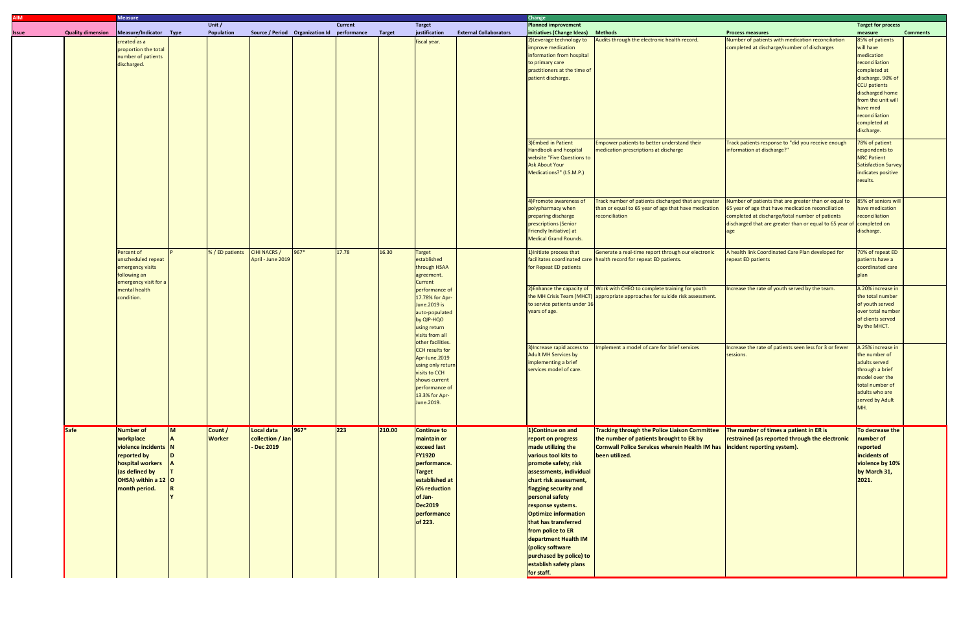|                          | <b>Measure</b>                                                                                                                              |                 |                                          |                                             |          |                |                                                                              |                                                                                                                                                                                                    |                                                                                                                       | Change                                                                                                                                                                                                                                                                                                                                                                                                                        |                                                                                                                                                                                                 |                                                                                                                                                                                                                          |                                                                                                                                                         |                                                                                                                                                        |                                                                                                                                                                                                                        |  |
|--------------------------|---------------------------------------------------------------------------------------------------------------------------------------------|-----------------|------------------------------------------|---------------------------------------------|----------|----------------|------------------------------------------------------------------------------|----------------------------------------------------------------------------------------------------------------------------------------------------------------------------------------------------|-----------------------------------------------------------------------------------------------------------------------|-------------------------------------------------------------------------------------------------------------------------------------------------------------------------------------------------------------------------------------------------------------------------------------------------------------------------------------------------------------------------------------------------------------------------------|-------------------------------------------------------------------------------------------------------------------------------------------------------------------------------------------------|--------------------------------------------------------------------------------------------------------------------------------------------------------------------------------------------------------------------------|---------------------------------------------------------------------------------------------------------------------------------------------------------|--------------------------------------------------------------------------------------------------------------------------------------------------------|------------------------------------------------------------------------------------------------------------------------------------------------------------------------------------------------------------------------|--|
|                          |                                                                                                                                             |                 | Unit $/$                                 |                                             |          | <b>Current</b> |                                                                              | <b>Target</b>                                                                                                                                                                                      |                                                                                                                       | <b>Planned improvement</b>                                                                                                                                                                                                                                                                                                                                                                                                    |                                                                                                                                                                                                 |                                                                                                                                                                                                                          | <b>Target for process</b>                                                                                                                               |                                                                                                                                                        |                                                                                                                                                                                                                        |  |
| <b>Quality dimension</b> | Measure/Indicator Type                                                                                                                      |                 | Population                               | Source / Period Organization Id performance |          |                | Target                                                                       | justification                                                                                                                                                                                      | <b>External Collaborators</b>                                                                                         | initiatives (Change Ideas)                                                                                                                                                                                                                                                                                                                                                                                                    | <b>Methods</b>                                                                                                                                                                                  | <b>Process measures</b>                                                                                                                                                                                                  | measure                                                                                                                                                 | <b>Comments</b>                                                                                                                                        |                                                                                                                                                                                                                        |  |
|                          | created as a<br>proportion the total<br>number of patients<br>discharged.                                                                   |                 |                                          |                                             |          |                |                                                                              |                                                                                                                                                                                                    |                                                                                                                       | fiscal year.                                                                                                                                                                                                                                                                                                                                                                                                                  |                                                                                                                                                                                                 | 2) Leverage technology to<br>improve medication<br>information from hospital<br>to primary care<br>practitioners at the time of<br>patient discharge.                                                                    | Audits through the electronic health record.                                                                                                            | Number of patients with medication reconciliation<br>completed at discharge/number of discharges<br>Track patients response to "did you receive enough | 85% of patients<br>will have<br>medication<br>reconciliation<br>completed at<br>discharge. 90% of<br>CCU patients<br>discharged home<br>from the unit will<br>have med<br>reconciliation<br>completed at<br>discharge. |  |
|                          |                                                                                                                                             |                 |                                          |                                             |          |                |                                                                              |                                                                                                                                                                                                    |                                                                                                                       | 3) Embed in Patient<br>Handbook and hospital<br><b>website "Five Questions to</b><br><b>Ask About Your</b><br>Medications?" (I.S.M.P.)                                                                                                                                                                                                                                                                                        | Empower patients to better understand their<br>medication prescriptions at discharge                                                                                                            | linformation at discharge?"                                                                                                                                                                                              | 78% of patient<br>respondents to<br><b>NRC Patient</b><br>Satisfaction Survey<br>indicates positive<br>results.                                         |                                                                                                                                                        |                                                                                                                                                                                                                        |  |
|                          |                                                                                                                                             |                 |                                          |                                             |          |                |                                                                              |                                                                                                                                                                                                    |                                                                                                                       | 4) Promote awareness of<br>polypharmacy when<br>preparing discharge<br>prescriptions (Senior<br>Friendly Initiative) at<br>Medical Grand Rounds.                                                                                                                                                                                                                                                                              | Track number of patients discharged that are greater<br>than or equal to 65 year of age that have medication<br>reconciliation                                                                  | Number of patients that are greater than or equal to<br>65 year of age that have medication reconciliation<br>completed at discharge/total number of patients<br>discharged that are greater than or equal to 65 year of | 85% of seniors will<br>have medication<br>reconciliation<br>completed on<br>discharge.                                                                  |                                                                                                                                                        |                                                                                                                                                                                                                        |  |
|                          | Percent of<br>unscheduled repeat<br>emergency visits<br>following an<br>emergency visit for a<br>mental health<br>condition.                | % / ED patients | <b>CIHI NACRS /</b><br>April - June 2019 | $967*$                                      | 17.78    | 16.30          | <b>Target</b><br>established<br>through HSAA<br>agreement.<br><b>Current</b> |                                                                                                                                                                                                    | 1) Initiate process that<br>for Repeat ED patients                                                                    | Generate a real-time report through our electronic<br>facilitates coordinated care   health record for repeat ED patients.                                                                                                                                                                                                                                                                                                    | A health link Coordinated Care Plan developed for<br>repeat ED patients                                                                                                                         | 70% of repeat ED<br>patients have a<br>coordinated care<br>olan                                                                                                                                                          |                                                                                                                                                         |                                                                                                                                                        |                                                                                                                                                                                                                        |  |
|                          |                                                                                                                                             |                 |                                          |                                             |          |                |                                                                              |                                                                                                                                                                                                    | performance of<br>17.78% for Apr-<br>June. 2019 is<br>auto-populated<br>by QIP-HQO<br>using return<br>visits from all |                                                                                                                                                                                                                                                                                                                                                                                                                               | to service patients under 16<br>years of age.                                                                                                                                                   | 2) Enhance the capacity of Vork with CHEO to complete training for youth<br>the MH Crisis Team (MHCT) appropriate approaches for suicide risk assessment.                                                                | Increase the rate of youth served by the team.                                                                                                          | A 20% increase in<br>the total number<br>of youth served<br>over total number<br>of clients served<br>by the MHCT.                                     |                                                                                                                                                                                                                        |  |
|                          |                                                                                                                                             |                 |                                          |                                             |          |                |                                                                              | other facilities.<br><b>CCH</b> results for<br>Apr-June.2019<br>using only return<br>visits to CCH<br>shows current<br>performance of<br>13.3% for Apr-<br>June.2019.                              |                                                                                                                       | 3) Increase rapid access to<br><b>Adult MH Services by</b><br>implementing a brief<br>services model of care.                                                                                                                                                                                                                                                                                                                 | Implement a model of care for brief services                                                                                                                                                    | Increase the rate of patients seen less for 3 or fewer<br>sessions.                                                                                                                                                      | A 25% increase in<br>the number of<br>adults served<br>through a brief<br>model over the<br>total number of<br>adults who are<br>served by Adult<br>MH. |                                                                                                                                                        |                                                                                                                                                                                                                        |  |
| <b>Safe</b>              | Number of<br>workplace<br>violence incidents N<br>reported by<br>hospital workers<br>(as defined by<br>OHSA) within a 12 O<br>month period. |                 | Count /<br><b>Worker</b>                 | Local data<br>collection / Jan<br>Dec 2019  | $ 967* $ | $\boxed{223}$  | 210.00                                                                       | <b>Continue to</b><br>maintain or<br><b>exceed last</b><br><b>FY1920</b><br>performance.<br><b>Target</b><br>established at<br>6% reduction<br>of Jan-<br><b>Dec2019</b><br>performance<br>of 223. |                                                                                                                       | 1)Continue on and<br>report on progress<br>made utilizing the<br>various tool kits to<br>promote safety; risk<br>assessments, individual<br>chart risk assessment,<br>flagging security and<br>personal safety<br>response systems.<br><b>Optimize information</b><br>that has transferred<br>from police to ER<br>department Health IM<br>policy software<br>purchased by police) to<br>establish safety plans<br>for staff. | <b>Tracking through the Police Liaison Committee</b><br>the number of patients brought to ER by<br>Cornwall Police Services wherein Health IM has incident reporting system).<br>been utilized. | The number of times a patient in ER is<br>restrained (as reported through the electronic                                                                                                                                 | To decrease the<br>number of<br>reported<br>incidents of<br>violence by 10%<br>by March 31,<br> 2021.                                                   |                                                                                                                                                        |                                                                                                                                                                                                                        |  |